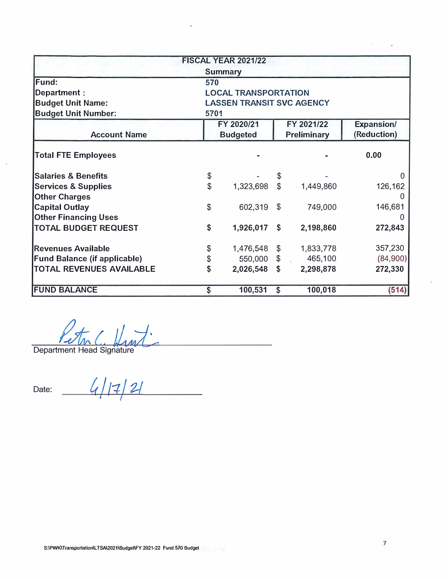|                                     |                                  | <b>FISCAL YEAR 2021/22</b>  |                |                    |                   |  |  |  |
|-------------------------------------|----------------------------------|-----------------------------|----------------|--------------------|-------------------|--|--|--|
|                                     |                                  | <b>Summary</b>              |                |                    |                   |  |  |  |
| Fund:                               | 570                              |                             |                |                    |                   |  |  |  |
| Department:                         |                                  | <b>LOCAL TRANSPORTATION</b> |                |                    |                   |  |  |  |
| <b>Budget Unit Name:</b>            | <b>LASSEN TRANSIT SVC AGENCY</b> |                             |                |                    |                   |  |  |  |
| <b>Budget Unit Number:</b>          | 5701                             |                             |                |                    |                   |  |  |  |
|                                     |                                  | FY 2020/21                  |                | FY 2021/22         | <b>Expansion/</b> |  |  |  |
| <b>Account Name</b>                 |                                  | <b>Budgeted</b>             |                | <b>Preliminary</b> | (Reduction)       |  |  |  |
| <b>Total FTE Employees</b>          |                                  |                             |                |                    |                   |  |  |  |
| <b>Salaries &amp; Benefits</b>      | \$                               |                             | \$             |                    | $\mathbf{U}$      |  |  |  |
| <b>Services &amp; Supplies</b>      | \$                               | 1,323,698                   | $\mathfrak{L}$ | 1,449,860          | 126,162           |  |  |  |
| <b>Other Charges</b>                |                                  |                             |                |                    | $\left( \right)$  |  |  |  |
| <b>Capital Outlay</b>               | \$                               | 602,319                     | $\mathfrak{L}$ | 749,000            | 146,681           |  |  |  |
| <b>Other Financing Uses</b>         |                                  |                             |                |                    |                   |  |  |  |
| <b>TOTAL BUDGET REQUEST</b>         | \$                               | 1,926,017 \$                |                | 2,198,860          | 272,843           |  |  |  |
| <b>Revenues Available</b>           | \$                               | 1,476,548                   | $\mathfrak{F}$ | 1,833,778          | 357,230           |  |  |  |
| <b>Fund Balance (if applicable)</b> | \$                               | 550,000 \$                  |                | 465,100            | (84,900)          |  |  |  |
| <b>TOTAL REVENUES AVAILABLE</b>     | \$                               | 2,026,548 \$                |                | 2,298,878          | 272,330           |  |  |  |
| <b>FUND BALANCE</b>                 | $\mathsf{\$}$                    | 100,531                     | \$             | 100,018            | (514)             |  |  |  |

Petin C. Hint

 $4|17|21$ Date: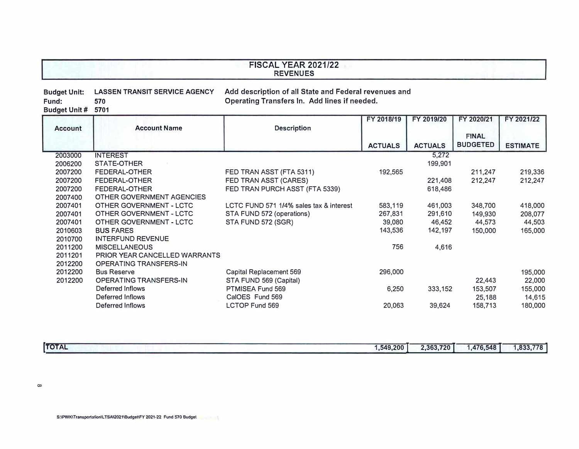## **FISCAL YEAR 2021/22 REVENUES**

#### **Budget Unit: LASSEN TRANSIT SERVICE AGENCY**  Fund: **Add description of all State and Federal revenues and Operating Transfers In. Add lines if needed.**

**Budget Unit# 5701** 

|                |                               |                                         | FY 2018/19     | FY 2019/20     | FY 2020/21      | FY 2021/22      |
|----------------|-------------------------------|-----------------------------------------|----------------|----------------|-----------------|-----------------|
| <b>Account</b> | <b>Account Name</b>           | <b>Description</b>                      |                |                |                 |                 |
|                |                               |                                         |                |                | <b>FINAL</b>    |                 |
|                |                               |                                         | <b>ACTUALS</b> | <b>ACTUALS</b> | <b>BUDGETED</b> | <b>ESTIMATE</b> |
| 2003000        | <b>INTEREST</b>               |                                         |                | 5,272          |                 |                 |
| 2006200        | STATE-OTHER                   |                                         |                | 199,901        |                 |                 |
| 2007200        | <b>FEDERAL-OTHER</b>          | FED TRAN ASST (FTA 5311)                | 192,565        |                | 211,247         | 219,336         |
| 2007200        | FEDERAL-OTHER                 | FED TRAN ASST (CARES)                   |                | 221,408        | 212,247         | 212,247         |
| 2007200        | FEDERAL-OTHER                 | FED TRAN PURCH ASST (FTA 5339)          |                | 618,486        |                 |                 |
| 2007400        | OTHER GOVERNMENT AGENCIES     |                                         |                |                |                 |                 |
| 2007401        | OTHER GOVERNMENT - LCTC       | LCTC FUND 571 1/4% sales tax & interest | 583,119        | 461,003        | 348,700         | 418,000         |
| 2007401        | OTHER GOVERNMENT - LCTC       | STA FUND 572 (operations)               | 267,831        | 291,610        | 149,930         | 208,077         |
| 2007401        | OTHER GOVERNMENT - LCTC       | STA FUND 572 (SGR)                      | 39,080         | 46,452         | 44,573          | 44,503          |
| 2010603        | <b>BUS FARES</b>              |                                         | 143,536        | 142,197        | 150,000         | 165,000         |
| 2010700        | <b>INTERFUND REVENUE</b>      |                                         |                |                |                 |                 |
| 2011200        | <b>MISCELLANEOUS</b>          |                                         | 756            | 4,616          |                 |                 |
| 2011201        | PRIOR YEAR CANCELLED WARRANTS |                                         |                |                |                 |                 |
| 2012200        | <b>OPERATING TRANSFERS-IN</b> |                                         |                |                |                 |                 |
| 2012200        | <b>Bus Reserve</b>            | Capital Replacement 569                 | 296,000        |                |                 | 195,000         |
| 2012200        | OPERATING TRANSFERS-IN        | STA FUND 569 (Capital)                  |                |                | 22,443          | 22,000          |
|                | Deferred Inflows              | PTMISEA Fund 569                        | 6,250          | 333,152        | 153,507         | 155,000         |
|                | Deferred Inflows              | CalOES Fund 569                         |                |                | 25,188          | 14,615          |
|                | Deferred Inflows              | <b>LCTOP Fund 569</b>                   | 20,063         | 39,624         | 158,713         | 180,000         |
|                |                               |                                         |                |                |                 |                 |

| <b>TOTAL</b> | , 549, 200 | 2.363.720 | .476,548 | 022 770<br>$\circ$ |
|--------------|------------|-----------|----------|--------------------|
|              |            |           |          | ، ، ، دده. ا       |

 $\infty$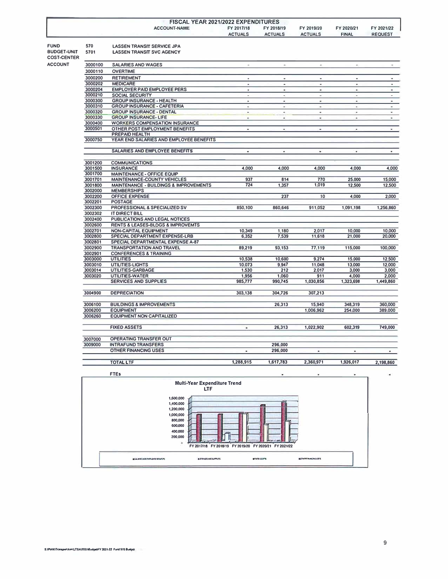| FISCAL YEAR 2021/2022 EXPENDITURES |                |                |                |              |                |
|------------------------------------|----------------|----------------|----------------|--------------|----------------|
| <b>ACCOUNT-NAME</b>                | FY 2017/18     | FY 2018/19     | FY 2019/20     | FY 2020/21   | FY 2021/22     |
|                                    | <b>ACTUALS</b> | <b>ACTUALS</b> | <b>ACTUALS</b> | <b>FINAL</b> | <b>REQUEST</b> |
|                                    |                |                |                |              |                |

**FUND 570 BUDGET-UNIT COST-CENTER** 

**ACCOUNT** 

### **LASSEN TRANSIT SERVICE JPA** LASSEN TRANSIT SVC AGENCY

| 3000100            | <b>SALARIES AND WAGES</b>                                 | ×                        | $\bullet$       | $\sim$          | $\bullet$            | ۰              |
|--------------------|-----------------------------------------------------------|--------------------------|-----------------|-----------------|----------------------|----------------|
| 3000110            | <b>OVERTIME</b>                                           |                          |                 |                 |                      |                |
| 3000200            | <b>RETIREMENT</b>                                         | ۰                        | ٠               | ٠               | ۰                    | ٠              |
| 3000202            | <b>MEDICARE</b>                                           | $\overline{\phantom{a}}$ | $\blacksquare$  | ٠               | $\ddot{\phantom{0}}$ | ٠              |
| 3000204            | <b>EMPLOYER PAID EMPLOYEE PERS</b>                        | $\blacksquare$           | ٠               | ۰               | ۰                    | ٠              |
| 3000210            | SOCIAL SECURITY                                           | $\blacksquare$           | ٠               | ٠               | ÷.                   | ٠              |
| 3000300            | <b>GROUP INSURANCE - HEALTH</b>                           | $\overline{a}$           | ۰               | ۰               | $\bar{\phantom{a}}$  | $\blacksquare$ |
| 3000310            | <b>GROUP INSURANCE - CAFETERIA</b>                        | $\sim$                   | ۰               | $\bullet$       | ٠.                   | ۰              |
| 3000320            | <b>GROUP INSURANCE - DENTAL</b>                           |                          | $\overline{a}$  | ۰               |                      | ٠              |
| 3000330            | <b>GROUP INSURANCE- LIFE</b>                              | ٠                        | ٠               | ٠               | ۰                    | ٠              |
| 3000400            | <b>WORKERS COMPENSATION INSURANCE</b>                     |                          |                 |                 |                      |                |
| 3000501            | OTHER POST EMPLOYMENT BENEFITS                            | $\sim$                   | ٠               | $\sim$          | ۰                    | ٠              |
|                    | PREPAID HEALTH                                            |                          |                 |                 |                      |                |
| 3000750            | YEAR END SALARIES AND EMPLOYEE BENEFITS                   |                          |                 |                 |                      |                |
|                    |                                                           |                          |                 |                 |                      |                |
|                    | SALARIES AND EMPLOYEE BENEFITS                            | ٠                        | ×.              | ۰               | ۰                    | ٠              |
| 3001200            | <b>COMMUNICATIONS</b>                                     |                          |                 |                 |                      |                |
| 3001500            | <b>INSURANCE</b>                                          | 4.000                    | 4.000           | 4.000           | 4.000                | 4,000          |
| 3001700            |                                                           |                          |                 |                 |                      |                |
| 3001701            | MAINTENANCE - OFFICE EQUIP<br>MAINTENANCE-COUNTY VEHICLES | 937                      | 814             | 770             | 25,000               | 15,000         |
| 3001800            | MAINTENANCE - BUILDINGS & IMPROVEMENTS                    | 724                      | 1,357           | 1,019           | 12,500               |                |
| 3002000            | <b>MEMBERSHIPS</b>                                        |                          |                 |                 |                      | 12,500         |
| 3002200            | <b>OFFICE EXPENSE</b>                                     |                          | 237             | 10              | 4,000                | 2,000          |
| 3002201            | <b>POSTAGE</b>                                            |                          |                 |                 |                      |                |
| 3002300            | PROFESSIONAL & SPECIALIZED SV                             | 850,100                  | 860,646         | 911,052         | 1,091,198            | 1,256,860      |
| 3002302            | IT DIRECT BILL                                            |                          |                 |                 |                      |                |
| 3002400            | PUBLICATIONS AND LEGAL NOTICES                            |                          |                 |                 |                      |                |
|                    |                                                           |                          |                 |                 |                      |                |
| 3002600            | <b>RENTS &amp; LEASES-BLDGS &amp; IMPROVEMTS</b>          |                          |                 | 2.017           | 10,000               |                |
| 3002701            | NON-CAPITAL EQUIPMENT                                     | 10,349                   | 1,180           |                 |                      | 10,000         |
| 3002800            | SPECIAL DEPARTMENT EXPENSE-LRB                            | 6.352                    | 7.539           | 11,618          | 21,000               | 20,000         |
| 3002801            | SPECIAL DEPARTMENTAL EXPENSE A-87                         |                          |                 | 77.119          |                      |                |
| 3002900            | <b>TRANSPORTATION AND TRAVEL</b>                          | 89,219                   | 93,153          |                 | 115,000              | 100,000        |
| 3002901            | <b>CONFERENCES &amp; TRAINING</b>                         |                          |                 |                 |                      |                |
| 3003000<br>3003010 | <b>UTILITIES</b>                                          | 10,538<br>10.073         | 10,600<br>9.947 | 9.274<br>11,048 | 15,000               | 12,500         |
|                    | UTILITIES-LIGHTS                                          |                          | 212             |                 | 13,000               | 12,000         |
| 3003014            | <b>UTILITIES-GARBAGE</b>                                  | 1,530                    |                 | 2.017<br>911    | 3.000                | 3,000          |
| 3003020            | UTILITIES-WATER                                           | 1,956                    | 1,060           |                 | 4,000                | 2,000          |
|                    | SERVICES AND SUPPLIES                                     | 985,777                  | 990,745         | 1,030,856       | 1,323,698            | 1,449,860      |
| 3004900            | <b>DEPRECIATION</b>                                       | 303,138                  | 304,726         | 307,213         |                      |                |
| 3006100            | <b>BUILDINGS &amp; IMPROVEMENTS</b>                       |                          | 26.313          | 15,940          | 348,319              | 360,000        |
| 3006200            | <b>EQUIPMENT</b>                                          |                          |                 | 1,006,962       | 254.000              | 389.000        |
| 3006260            | <b>EQUIPMENT NON CAPITALIZED</b>                          |                          |                 |                 |                      |                |
|                    |                                                           |                          |                 |                 |                      |                |
|                    | <b>FIXED ASSETS</b>                                       | ۰                        | 26,313          | 1,022,902       | 602.319              | 749,000        |
| 3007000            | OPERATING TRANSFER OUT                                    |                          |                 |                 |                      |                |
| 3009000            | <b>INTRAFUND TRANSFERS</b>                                |                          | 296,000         |                 |                      |                |
|                    | <b>OTHER FINANCING USES</b>                               | ٠                        | 296,000         | $\blacksquare$  | ۰                    | ۰              |
|                    |                                                           |                          |                 |                 |                      |                |
|                    | ----- --                                                  |                          |                 |                 |                      |                |

**TOTAL LTF** 1,288,915 **1,617,783 2,360,971 1,926,017 2,198,860** 



×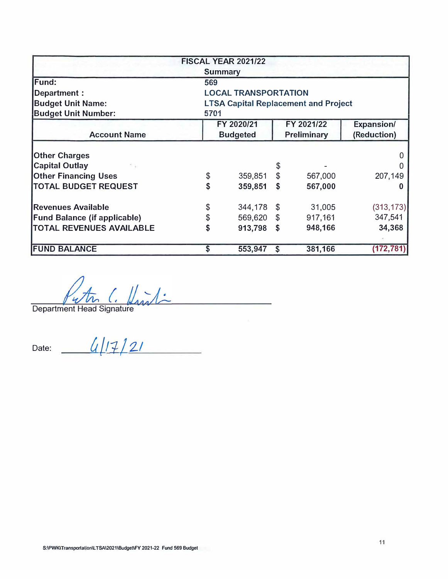|                                     |                             | <b>FISCAL YEAR 2021/22</b> |                |                                             |                   |  |  |
|-------------------------------------|-----------------------------|----------------------------|----------------|---------------------------------------------|-------------------|--|--|
|                                     |                             | <b>Summary</b>             |                |                                             |                   |  |  |
| Fund:                               | 569                         |                            |                |                                             |                   |  |  |
| Department :                        | <b>LOCAL TRANSPORTATION</b> |                            |                |                                             |                   |  |  |
| <b>Budget Unit Name:</b>            |                             |                            |                | <b>LTSA Capital Replacement and Project</b> |                   |  |  |
| <b>Budget Unit Number:</b>          | 5701                        |                            |                |                                             |                   |  |  |
|                                     |                             | FY 2020/21                 |                | FY 2021/22                                  | <b>Expansion/</b> |  |  |
| <b>Account Name</b>                 | <b>Budgeted</b>             | (Reduction)                |                |                                             |                   |  |  |
| <b>Other Charges</b>                |                             |                            |                |                                             |                   |  |  |
| <b>Capital Outlay</b>               |                             |                            | \$             |                                             |                   |  |  |
| <b>Other Financing Uses</b>         | \$                          | 359,851                    | $\mathcal{S}$  | 567,000                                     | 207,149           |  |  |
| <b>TOTAL BUDGET REQUEST</b>         | \$                          | 359,851                    | \$             | 567,000                                     | 0                 |  |  |
| <b>Revenues Available</b>           | \$                          | 344,178                    | $\mathfrak{F}$ | 31,005                                      | (313, 173)        |  |  |
| <b>Fund Balance (if applicable)</b> | \$                          | 569,620                    | $\mathfrak{L}$ | 917,161                                     | 347,541           |  |  |
| <b>TOTAL REVENUES AVAILABLE</b>     | \$                          | 913,798                    | S              | 948,166                                     | 34,368            |  |  |
| <b>FUND BALANCE</b>                 | S                           | 553,947                    | S              | 381,166                                     | (172, 781)        |  |  |

Department Head Signature

Date: *ull17/<u>21</u>*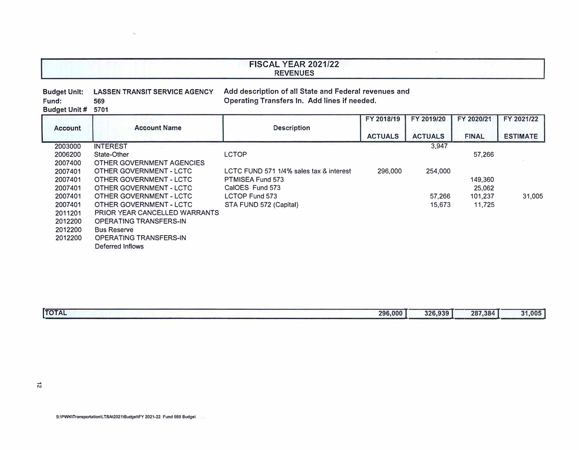# **FISCAL YEAR 2021/22 REVENUES**

#### **Budget Unit: LASSEN TRANSIT SERVICE AGENCY**  Fund: **Budget Unit#** 5701 **Add description of all State and Federal revenues and Operating Transfers In. Add lines if needed.**

|         |                               |                                         | FY 2018/19     | FY 2019/20     | FY 2020/21   | FY 2021/22      |
|---------|-------------------------------|-----------------------------------------|----------------|----------------|--------------|-----------------|
| Account | <b>Account Name</b>           | <b>Description</b>                      | <b>ACTUALS</b> | <b>ACTUALS</b> | <b>FINAL</b> | <b>ESTIMATE</b> |
| 2003000 | <b>INTEREST</b>               |                                         |                | 3.947          |              |                 |
| 2006200 | State-Other                   | LCTOP                                   |                |                | 57,266       |                 |
| 2007400 | OTHER GOVERNMENT AGENCIES     |                                         |                |                |              |                 |
| 2007401 | OTHER GOVERNMENT - LCTC       | LCTC FUND 571 1/4% sales tax & interest | 296,000        | 254.000        |              |                 |
| 2007401 | OTHER GOVERNMENT - LCTC       | PTMISEA Fund 573                        |                |                | 149,360      |                 |
| 2007401 | OTHER GOVERNMENT - LCTC       | CalOES Fund 573                         |                |                | 25,062       |                 |
| 2007401 | OTHER GOVERNMENT - LCTC       | LCTOP Fund 573                          |                | 57.266         | 101.237      | 31,005          |
| 2007401 | OTHER GOVERNMENT - LCTC       | STA FUND 572 (Capital)                  |                | 15,673         | 11.725       |                 |
| 2011201 | PRIOR YEAR CANCELLED WARRANTS |                                         |                |                |              |                 |
| 2012200 | <b>OPERATING TRANSFERS-IN</b> |                                         |                |                |              |                 |
| 2012200 | <b>Bus Reserve</b>            |                                         |                |                |              |                 |
| 2012200 | <b>OPERATING TRANSFERS-IN</b> |                                         |                |                |              |                 |
|         | Deferred Inflows              |                                         |                |                |              |                 |
|         |                               |                                         |                |                |              |                 |

| <b>TOTAL</b> | 296,000 | 326.939 | 287,384 | 31,005 |
|--------------|---------|---------|---------|--------|
|              |         |         |         |        |

 $\mathbf{q}_i$